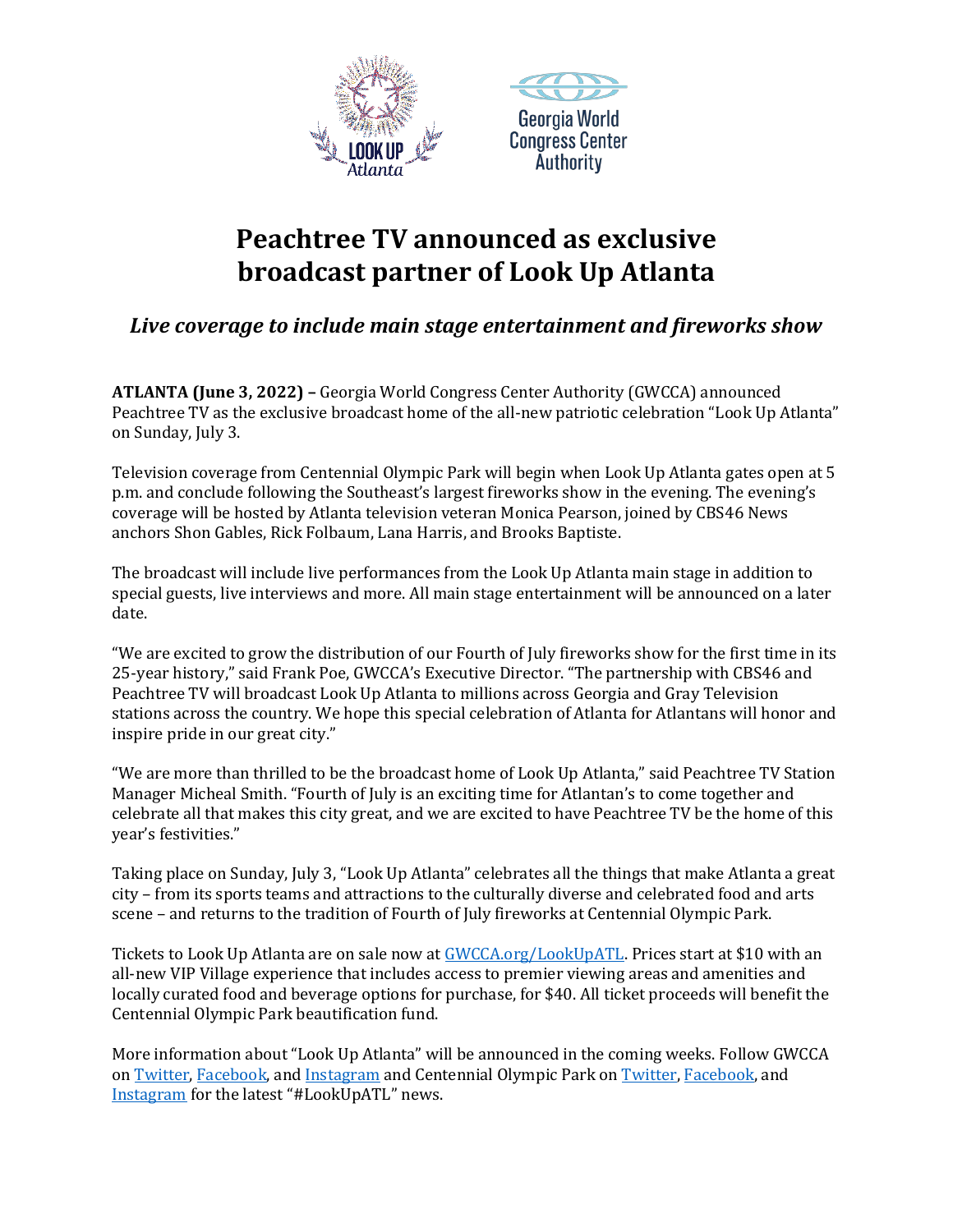



## **Peachtree TV announced as exclusive broadcast partner of Look Up Atlanta**

*Live coverage to include main stage entertainment and fireworks show*

**ATLANTA (June 3, 2022) –** Georgia World Congress Center Authority (GWCCA) announced Peachtree TV as the exclusive broadcast home of the all-new patriotic celebration "Look Up Atlanta" on Sunday, July 3.

Television coverage from Centennial Olympic Park will begin when Look Up Atlanta gates open at 5 p.m. and conclude following the Southeast's largest fireworks show in the evening. The evening's coverage will be hosted by Atlanta television veteran Monica Pearson, joined by CBS46 News anchors Shon Gables, Rick Folbaum, Lana Harris, and Brooks Baptiste.

The broadcast will include live performances from the Look Up Atlanta main stage in addition to special guests, live interviews and more. All main stage entertainment will be announced on a later date.

"We are excited to grow the distribution of our Fourth of July fireworks show for the first time in its 25-year history," said Frank Poe, GWCCA's Executive Director. "The partnership with CBS46 and Peachtree TV will broadcast Look Up Atlanta to millions across Georgia and Gray Television stations across the country. We hope this special celebration of Atlanta for Atlantans will honor and inspire pride in our great city."

"We are more than thrilled to be the broadcast home of Look Up Atlanta," said Peachtree TV Station Manager Micheal Smith. "Fourth of July is an exciting time for Atlantan's to come together and celebrate all that makes this city great, and we are excited to have Peachtree TV be the home of this year's festivities."

Taking place on Sunday, July 3, "Look Up Atlanta" celebrates all the things that make Atlanta a great city – from its sports teams and attractions to the culturally diverse and celebrated food and arts scene – and returns to the tradition of Fourth of July fireworks at Centennial Olympic Park.

Tickets to Look Up Atlanta are on sale now at **GWCCA.org/LookUpATL**. Prices start at \$10 with an all-new VIP Village experience that includes access to premier viewing areas and amenities and locally curated food and beverage options for purchase, for \$40. All ticket proceeds will benefit the Centennial Olympic Park beautification fund.

More information about "Look Up Atlanta" will be announced in the coming weeks. Follow GWCCA o[n Twitter,](https://twitter.com/GWCC_ATL) [Facebook,](https://www.facebook.com/GeorgiaWorldCongressCenterAuthority/) and [Instagram](https://www.instagram.com/gwcca_atl/) and Centennial Olympic Park o[n Twitter,](https://twitter.com/centennial_park) [Facebook,](https://www.facebook.com/centennialolympicpark) and [Instagram](https://www.instagram.com/centennial_park/) for the latest "#LookUpATL" news.